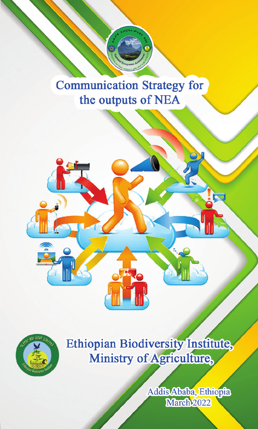## **Communication Strategy for** the outputs of NEA



Ethiopian Biodiversity Institute, Ministry of Agriculture,

> Addis Ababa, Ethiopia March<sub>2022</sub>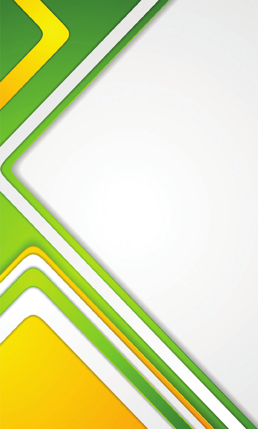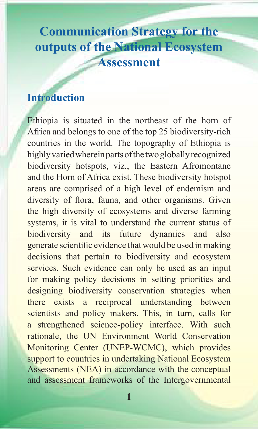# **Communication Strategy for the outputs of the National Ecosystem Assessment**

### **Introduction**

Ethiopia is situated in the northeast of the horn of Africa and belongs to one of the top 25 biodiversity-rich countries in the world. The topography of Ethiopia is highly varied wherein parts of the two globally recognized biodiversity hotspots, viz., the Eastern Afromontane and the Horn of Africa exist. These biodiversity hotspot areas are comprised of a high level of endemism and diversity of flora, fauna, and other organisms. Given the high diversity of ecosystems and diverse farming systems, it is vital to understand the current status of biodiversity and its future dynamics and also generate scientific evidence that would be used in making decisions that pertain to biodiversity and ecosystem services. Such evidence can only be used as an input for making policy decisions in setting priorities and designing biodiversity conservation strategies when there exists a reciprocal understanding between scientists and policy makers. This, in turn, calls for a strengthened science-policy interface. With such rationale, the UN Environment World Conservation Monitoring Center (UNEP-WCMC), which provides support to countries in undertaking National Ecosystem Assessments (NEA) in accordance with the conceptual and assessment frameworks of the Intergovernmental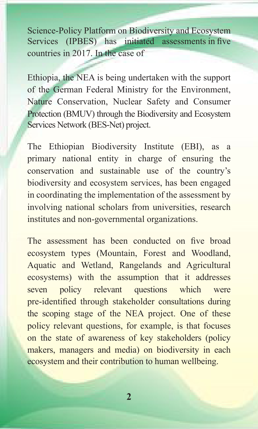Science-Policy Platform on Biodiversity and Ecosystem Services (IPBES) has initiated assessments in five countries in 2017. In the case of

Ethiopia, the NEA is being undertaken with the support of the German Federal Ministry for the Environment, Nature Conservation, Nuclear Safety and Consumer Protection (BMUV) through the Biodiversity and Ecosystem Services Network (BES-Net) project.

The Ethiopian Biodiversity Institute (EBI), as a primary national entity in charge of ensuring the conservation and sustainable use of the country's biodiversity and ecosystem services, has been engaged in coordinating the implementation of the assessment by involving national scholars from universities, research institutes and non-governmental organizations.

The assessment has been conducted on five broad ecosystem types (Mountain, Forest and Woodland, Aquatic and Wetland, Rangelands and Agricultural ecosystems) with the assumption that it addresses seven policy relevant questions which were pre-identified through stakeholder consultations during the scoping stage of the NEA project. One of these policy relevant questions, for example, is that focuses on the state of awareness of key stakeholders (policy makers, managers and media) on biodiversity in each ecosystem and their contribution to human wellbeing.

**2**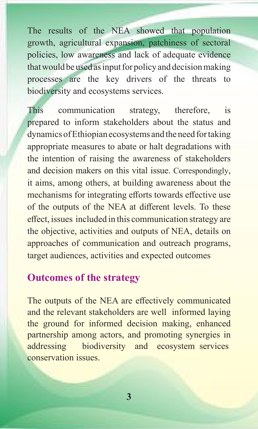The results of the NEA showed that population growth, agricultural expansion, patchiness of sectoral policies, low awareness and lack of adequate evidence that would be used as input for policy and decision making processes are the key drivers of the threats to biodiversity and ecosystems services.

This communication strategy, therefore, is prepared to inform stakeholders about the status and dynamics of Ethiopian ecosystems and the need for taking appropriate measures to abate or halt degradations with the intention of raising the awareness of stakeholders and decision makers on this vital issue. Correspondingly, it aims, among others, at building awareness about the mechanisms for integrating efforts towards effective use of the outputs of the NEA at different levels. To these effect, issues included in this communication strategy are the objective, activities and outputs of NEA, details on approaches of communication and outreach programs, target audiences, activities and expected outcomes

#### **Outcomes of the strategy**

The outputs of the NEA are effectively communicated and the relevant stakeholders are well informed laying the ground for informed decision making, enhanced partnership among actors, and promoting synergies in addressing biodiversity and ecosystem services conservation issues.

**3**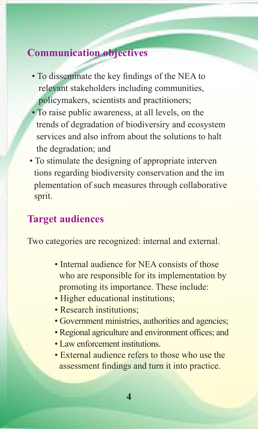### **Communication objectives**

- To disseminate the key findings of the NEA to relevant stakeholders including communities, policymakers, scientists and practitioners;
- To raise public awareness, at all levels, on the trends of degradation of biodiversiry and ecosystem services and also infrom about the solutions to halt the degradation; and
- To stimulate the designing of appropriate interven tions regarding biodiversity conservation and the im plementation of such measures through collaborative sprit.

#### **Target audiences**

Two categories are recognized: internal and external.

- Internal audience for NEA consists of those who are responsible for its implementation by promoting its importance. These include:
- Higher educational institutions;
- Research institutions:
- Government ministries, authorities and agencies;
- Regional agriculture and environment offices; and
- Law enforcement institutions.
- External audience refers to those who use the assessment findings and turn it into practice.

**4**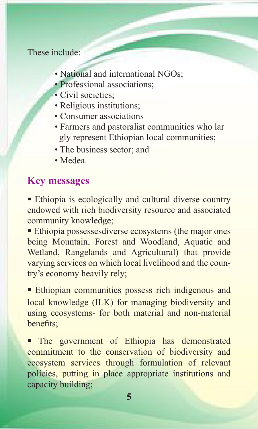These include:

- National and international NGOs;
- Professional associations;
- Civil societies:
- Religious institutions;
- Consumer associations
- Farmers and pastoralist communities who lar gly represent Ethiopian local communities;
- The business sector; and
- Medea.

## **Key messages**

 Ethiopia is ecologically and cultural diverse country endowed with rich biodiversity resource and associated community knowledge;

■ Ethiopia possesses diverse ecosystems (the major ones being Mountain, Forest and Woodland, Aquatic and Wetland, Rangelands and Agricultural) that provide varying services on which local livelihood and the country's economy heavily rely;

**Ethiopian communities possess rich indigenous and** local knowledge (ILK) for managing biodiversity and using ecosystems- for both material and non-material benefits;

 The government of Ethiopia has demonstrated commitment to the conservation of biodiversity and ecosystem services through formulation of relevant policies, putting in place appropriate institutions and capacity building;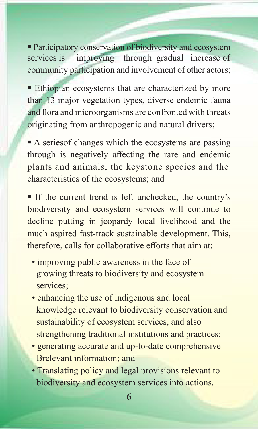**Participatory conservation of biodiversity and ecosystem** services is improving through gradual increase of community participation and involvement of other actors;

**Ethiopian ecosystems that are characterized by more** than 13 major vegetation types, diverse endemic fauna and flora and microorganisms are confronted with threats originating from anthropogenic and natural drivers;

A series of changes which the ecosystems are passing through is negatively affecting the rare and endemic plants and animals, the keystone species and the characteristics of the ecosystems; and

If the current trend is left unchecked, the country's biodiversity and ecosystem services will continue to decline putting in jeopardy local livelihood and the much aspired fast-track sustainable development. This, therefore, calls for collaborative efforts that aim at:

- improving public awareness in the face of growing threats to biodiversity and ecosystem services:
- enhancing the use of indigenous and local knowledge relevant to biodiversity conservation and sustainability of ecosystem services, and also strengthening traditional institutions and practices;
- generating accurate and up-to-date comprehensive Brelevant information; and
- Translating policy and legal provisions relevant to biodiversity and ecosystem services into actions.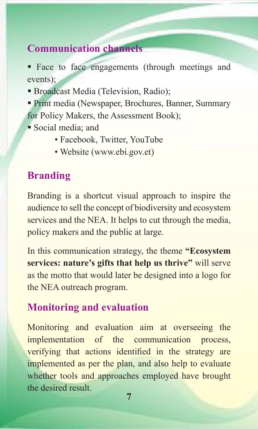#### **Communication channels**

**Face to face engagements (through meetings and** events);

Broadcast Media (Television, Radio);

**Print media (Newspaper, Brochures, Banner, Summary** for Policy Makers, the Assessment Book);

- Social media; and
	- Facebook, Twitter, YouTube
	- Website (www.ebi.gov.et)

## **Branding**

Branding is a shortcut visual approach to inspire the audience to sell the concept of biodiversity and ecosystem services and the NEA. It helps to cut through the media, policy makers and the public at large.

In this communication strategy, the theme **"Ecosystem services: nature's gifts that help us thrive"** will serve as the motto that would later be designed into a logo for the NEA outreach program.

## **Monitoring and evaluation**

Monitoring and evaluation aim at overseeing the implementation of the communication process, verifying that actions identified in the strategy are implemented as per the plan, and also help to evaluate whether tools and approaches employed have brought the desired result.